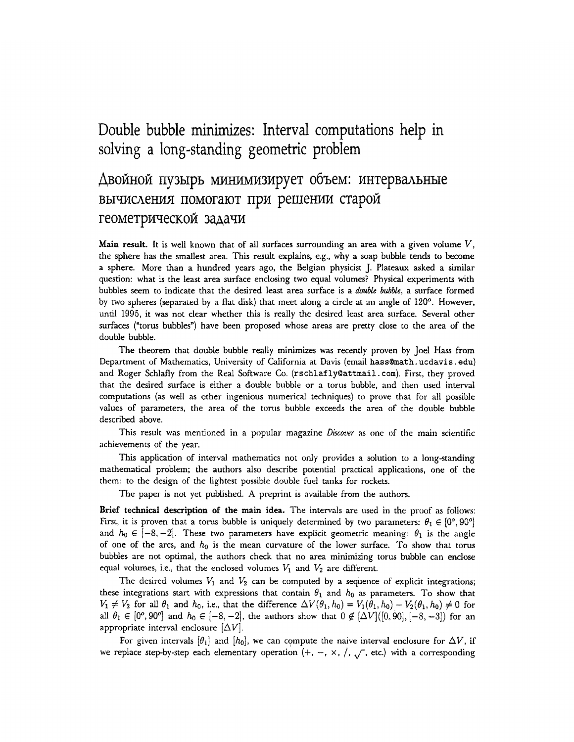## **Double bubble minimizes: Interval computations help in solving a long-standing geometric problem**

## Двойной пузырь минимизирует объем: интервальные **ВЫЧИСЛЕНИЯ ПОМОГАЮТ ПРИ РЕШЕНИИ СТАРОЙ** геометрической задачи

**Main result.** It is well known that of all surfaces surrounding an area with a given volume  $V$ , the sphere has the smallest area. This result explains, e.g., why a soap bubble tends to become a sphere. More than a hundred years ago, the Belgian physicist J. Plateaux asked a similar question: what is the least area surface enclosing two equal volumes? Physical experiments with bubbles seem to indicate that the desired least area surface is a *double bubble,* a surface formed by two spheres (separated by a flat disk) that meet along a circle at an angle of 120<sup>o</sup>. However, until 1995, it was not clear whether this is really the desired least area surface. Several other surfaces ('torus bubbles") have been proposed whose areas are pretty close to the area of the double bubble.

The theorem that double bubble really minimizes was recently proven by Joel Hass from Department of Mathematics, University of California at Davis (email hass@math.ucdavis.edu) and Roger Schlafly from the Real Software Co. (rschlafly@attmail.com). First, they proved that the desired surface is either a double bubble or a torus bubble, and then used interval computations (as welt as other ingenious numerical techniques) to prove that for all possible values of parameters, the area of the torus bubble exceeds the area of the double bubble described above.

This result was mentioned in a popular magazine *Discover* as one of the main scientific achievements of the year.

This application of interval mathematics not only provides a solution to a long-standing mathematical problem; the authors also describe potential practical applications, one of the them: to the design of the lightest possible double fuel tanks for rockets.

The paper is not yet published. A preprint is available from the authors.

Brief technical description of the main idea. The intervals are used in the proof as follows: First, it is proven that a torus bubble is uniquely determined by two parameters:  $\theta_1 \in [0^{\circ}, 90^{\circ}]$ and  $h_0 \in [-8,-2]$ . These two parameters have explicit geometric meaning:  $\theta_1$  is the angle of one of the arcs, and  $h_0$  is the mean curvature of the lower surface. To show that torus bubbles are not optimal, the authors check that no area minimizing torus bubble can enclose equal volumes, i.e., that the enclosed volumes  $V_1$  and  $V_2$  are different.

The desired volumes  $V_1$  and  $V_2$  can be computed by a sequence of explicit integrations; these integrations start with expressions that contain  $\theta_1$  and  $h_0$  as parameters. To show that  $V_1 \neq V_2$  for all  $\theta_1$  and  $h_0$ , i.e., that the difference  $\Delta V(\theta_1, h_0) = V_1(\theta_1, h_0) - V_2(\theta_1, h_0) \neq 0$  for all  $\theta_1 \in [0^\circ, 90^\circ]$  and  $h_0 \in [-8,-2]$ , the authors show that  $0 \notin [\Delta V]([0,90], [-8,-3])$  for an appropriate interval enclosure  $[\Delta V]$ .

For given intervals  $[\theta_1]$  and  $[h_0]$ , we can compute the naive interval enclosure for  $\Delta V$ , if we replace step-by-step each elementary operation  $(+, -, \times, /, \sqrt{})$ , etc.) with a corresponding